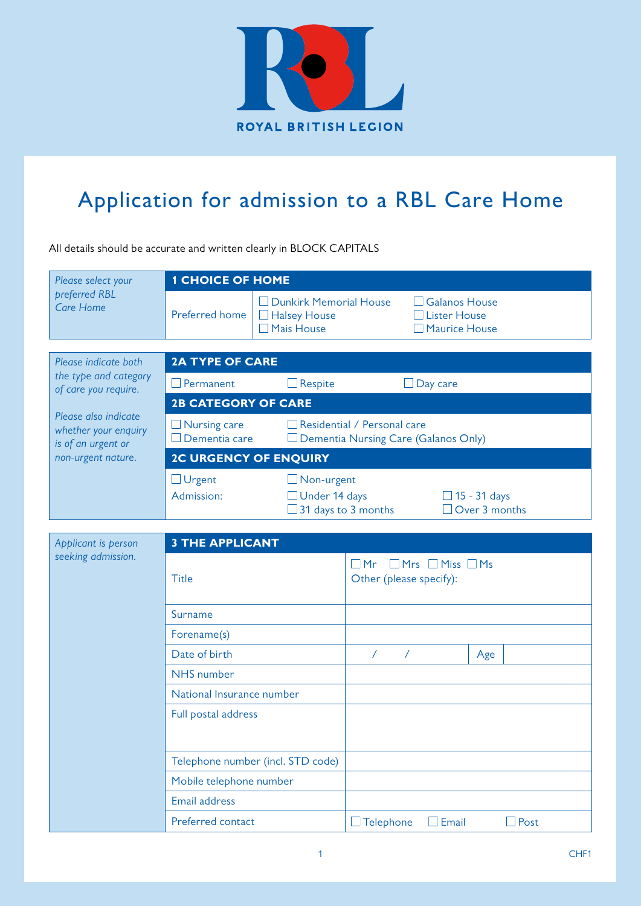

## Application for admission to a RBL Care Home

All details should be accurate and written clearly in BLOCK CAPITALS

| Please select your                | <b>1 CHOICE OF HOME</b>     |                                                                    |                                                                     |
|-----------------------------------|-----------------------------|--------------------------------------------------------------------|---------------------------------------------------------------------|
| preferred RBL<br><b>Care Home</b> | Preferred home <sup>I</sup> | Dunkirk Memorial House<br>$\Box$ Halsey House<br>$\Box$ Mais House | $\Box$ Galanos House<br>$\Box$ Lister House<br>$\Box$ Maurice House |

| Please indicate both                                               | <b>2A TYPE OF CARE</b>               |                                                                               |                                             |
|--------------------------------------------------------------------|--------------------------------------|-------------------------------------------------------------------------------|---------------------------------------------|
| the type and category<br>of care you require.                      | Permanent                            | $\Box$ Respite                                                                | Day care                                    |
| Please also indicate<br>whether your enquiry<br>is of an urgent or | <b>2B CATEGORY OF CARE</b>           |                                                                               |                                             |
|                                                                    | $\Box$ Nursing care<br>Dementia care | Residential / Personal care<br>Dementia Nursing Care (Galanos Only)<br>$\Box$ |                                             |
| non-urgent nature.                                                 | <b>2C URGENCY OF ENQUIRY</b>         |                                                                               |                                             |
|                                                                    | $\Box$ Urgent<br>Admission:          | $\Box$ Non-urgent<br>$\Box$ Under 14 days<br>31 days to 3 months              | $\Box$ 15 - 31 days<br>$\Box$ Over 3 months |

| Applicant is person | <b>3 THE APPLICANT</b>            |                                         |                                  |     |      |
|---------------------|-----------------------------------|-----------------------------------------|----------------------------------|-----|------|
| seeking admission.  | <b>Title</b>                      | $\square$ Mr<br>Other (please specify): | $\Box$ Mrs $\Box$ Miss $\Box$ Ms |     |      |
|                     | Surname                           |                                         |                                  |     |      |
|                     | Forename(s)                       |                                         |                                  |     |      |
|                     | Date of birth                     | $\sqrt{2}$<br>$\sqrt{2}$                |                                  | Age |      |
|                     | NHS number                        |                                         |                                  |     |      |
|                     | National Insurance number         |                                         |                                  |     |      |
|                     | Full postal address               |                                         |                                  |     |      |
|                     | Telephone number (incl. STD code) |                                         |                                  |     |      |
|                     | Mobile telephone number           |                                         |                                  |     |      |
|                     | Email address                     |                                         |                                  |     |      |
|                     | Preferred contact                 | $\Box$ Telephone                        | $\Box$ Email                     |     | Post |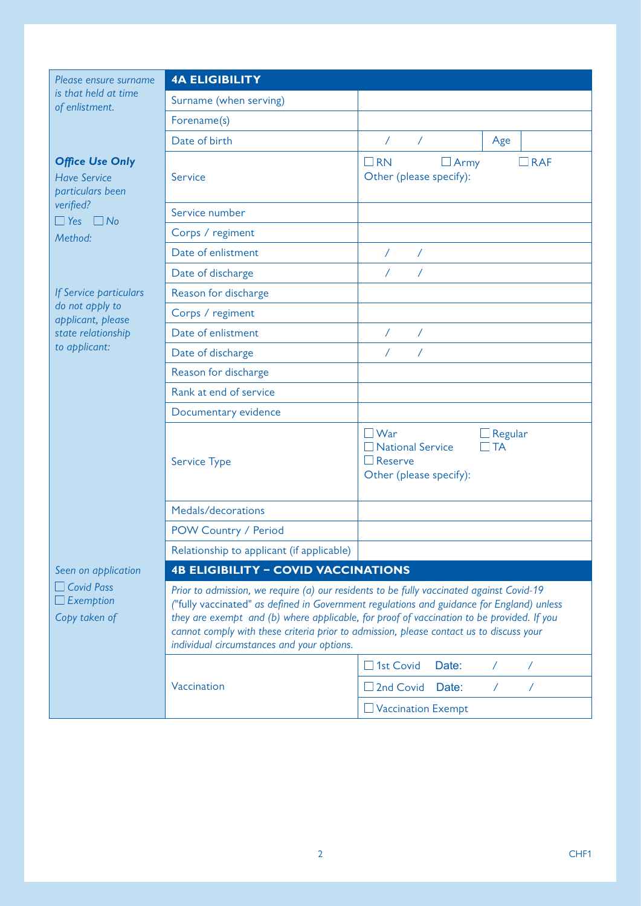*Please ensure surna is that held at time of enlistment.*

| Please ensure surname                                             | <b>4A ELIGIBILITY</b>                      |                                                                                                                                                                                                                                                                                                                                                                               |  |  |
|-------------------------------------------------------------------|--------------------------------------------|-------------------------------------------------------------------------------------------------------------------------------------------------------------------------------------------------------------------------------------------------------------------------------------------------------------------------------------------------------------------------------|--|--|
| is that held at time<br>of enlistment.                            | Surname (when serving)                     |                                                                                                                                                                                                                                                                                                                                                                               |  |  |
|                                                                   | Forename(s)                                |                                                                                                                                                                                                                                                                                                                                                                               |  |  |
|                                                                   | Date of birth                              | $\sqrt{2}$<br>$\sqrt{2}$<br>Age                                                                                                                                                                                                                                                                                                                                               |  |  |
| <b>Office Use Only</b><br><b>Have Service</b><br>particulars been | Service                                    | $\square$ RN<br>$\Box$ RAF<br>$\Box$ Army<br>Other (please specify):                                                                                                                                                                                                                                                                                                          |  |  |
| verified?<br>$\Box$ Yes<br>$\Box$ No                              | Service number                             |                                                                                                                                                                                                                                                                                                                                                                               |  |  |
| Method:                                                           | Corps / regiment                           |                                                                                                                                                                                                                                                                                                                                                                               |  |  |
|                                                                   | Date of enlistment                         | $\prime$<br>Γ                                                                                                                                                                                                                                                                                                                                                                 |  |  |
|                                                                   | Date of discharge                          | $\sqrt{2}$<br>$\sqrt{2}$                                                                                                                                                                                                                                                                                                                                                      |  |  |
| If Service particulars                                            | Reason for discharge                       |                                                                                                                                                                                                                                                                                                                                                                               |  |  |
| do not apply to<br>applicant, please                              | Corps / regiment                           |                                                                                                                                                                                                                                                                                                                                                                               |  |  |
| state relationship                                                | Date of enlistment                         | Τ                                                                                                                                                                                                                                                                                                                                                                             |  |  |
| to applicant:                                                     | Date of discharge                          | $\sqrt{2}$                                                                                                                                                                                                                                                                                                                                                                    |  |  |
|                                                                   | Reason for discharge                       |                                                                                                                                                                                                                                                                                                                                                                               |  |  |
|                                                                   | Rank at end of service                     |                                                                                                                                                                                                                                                                                                                                                                               |  |  |
|                                                                   | Documentary evidence                       |                                                                                                                                                                                                                                                                                                                                                                               |  |  |
|                                                                   | Service Type                               | $\Box$ War<br>$\Box$ Regular<br><b>TA</b><br><b>National Service</b><br>$\Box$ Reserve<br>Other (please specify):                                                                                                                                                                                                                                                             |  |  |
|                                                                   | Medals/decorations                         |                                                                                                                                                                                                                                                                                                                                                                               |  |  |
|                                                                   | POW Country / Period                       |                                                                                                                                                                                                                                                                                                                                                                               |  |  |
|                                                                   | Relationship to applicant (if applicable)  |                                                                                                                                                                                                                                                                                                                                                                               |  |  |
| Seen on application                                               | <b>4B ELIGIBILITY - COVID VACCINATIONS</b> |                                                                                                                                                                                                                                                                                                                                                                               |  |  |
| <b>Covid Pass</b><br>$\perp$ Exemption<br>Copy taken of           | individual circumstances and your options. | Prior to admission, we require (a) our residents to be fully vaccinated against Covid-19<br>("fully vaccinated" as defined in Government regulations and guidance for England) unless<br>they are exempt and (b) where applicable, for proof of vaccination to be provided. If you<br>cannot comply with these criteria prior to admission, please contact us to discuss your |  |  |
|                                                                   |                                            | 1st Covid<br>Date:<br>$\prime$<br>$\prime$                                                                                                                                                                                                                                                                                                                                    |  |  |
|                                                                   | Vaccination                                | 2nd Covid<br>Date:<br>Τ<br>$\prime$                                                                                                                                                                                                                                                                                                                                           |  |  |
|                                                                   |                                            | Vaccination Exempt                                                                                                                                                                                                                                                                                                                                                            |  |  |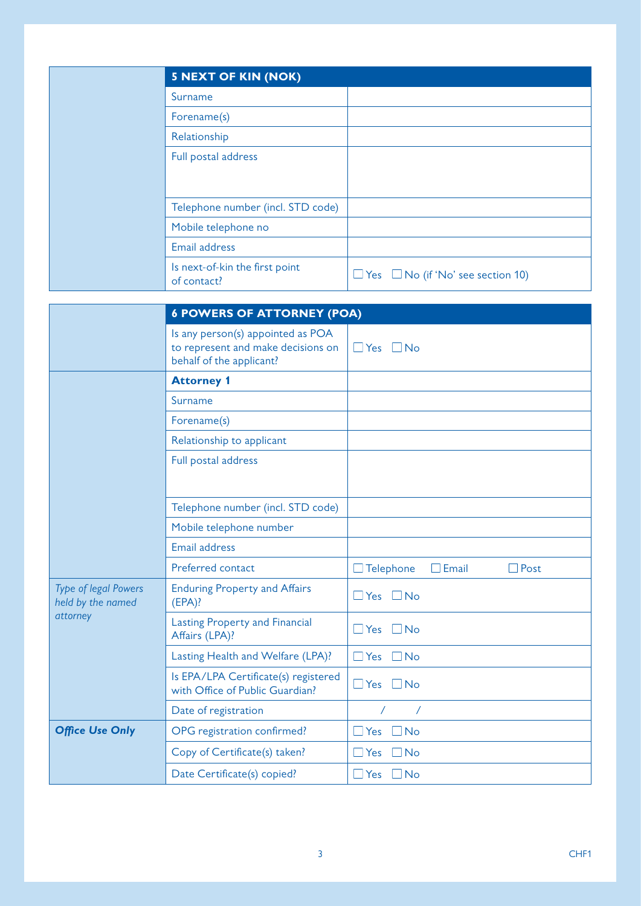| <b>5 NEXT OF KIN (NOK)</b>                    |                                               |
|-----------------------------------------------|-----------------------------------------------|
| Surname                                       |                                               |
| Forename(s)                                   |                                               |
| Relationship                                  |                                               |
| Full postal address                           |                                               |
|                                               |                                               |
|                                               |                                               |
| Telephone number (incl. STD code)             |                                               |
| Mobile telephone no                           |                                               |
| Email address                                 |                                               |
| Is next-of-kin the first point<br>of contact? | $\Box$ Yes $\Box$ No (if 'No' see section 10) |

|                                                       | <b>6 POWERS OF ATTORNEY (POA)</b>                                                                   |                                          |  |
|-------------------------------------------------------|-----------------------------------------------------------------------------------------------------|------------------------------------------|--|
|                                                       | Is any person(s) appointed as POA<br>to represent and make decisions on<br>behalf of the applicant? | $\Box$ Yes $\Box$ No                     |  |
|                                                       | <b>Attorney 1</b>                                                                                   |                                          |  |
|                                                       | Surname                                                                                             |                                          |  |
|                                                       | Forename(s)                                                                                         |                                          |  |
|                                                       | Relationship to applicant                                                                           |                                          |  |
|                                                       | Full postal address                                                                                 |                                          |  |
|                                                       | Telephone number (incl. STD code)                                                                   |                                          |  |
|                                                       | Mobile telephone number                                                                             |                                          |  |
|                                                       | Email address                                                                                       |                                          |  |
|                                                       | Preferred contact                                                                                   | $\Box$ Telephone<br>$\Box$ Email<br>Post |  |
| Type of legal Powers<br>held by the named<br>attorney | <b>Enduring Property and Affairs</b><br>$(EPA)$ ?                                                   | Yes<br>$\Box$ No<br>$\mathsf{L}$         |  |
|                                                       | <b>Lasting Property and Financial</b><br>Affairs (LPA)?                                             | Yes<br>$\Box$ No<br>$\vert \ \ \vert$    |  |
|                                                       | Lasting Health and Welfare (LPA)?                                                                   | Yes<br>$\Box$ No<br>$\Box$               |  |
|                                                       | Is EPA/LPA Certificate(s) registered<br>with Office of Public Guardian?                             | $\Box$ Yes<br>$\Box$ No                  |  |
|                                                       | Date of registration                                                                                | $\prime$                                 |  |
| <b>Office Use Only</b>                                | OPG registration confirmed?                                                                         | Yes<br><b>No</b><br>M                    |  |
|                                                       | Copy of Certificate(s) taken?                                                                       | Yes<br>$\Box$ No<br>$\Box$               |  |
|                                                       | Date Certificate(s) copied?                                                                         | $\Box$ Yes $\Box$ No                     |  |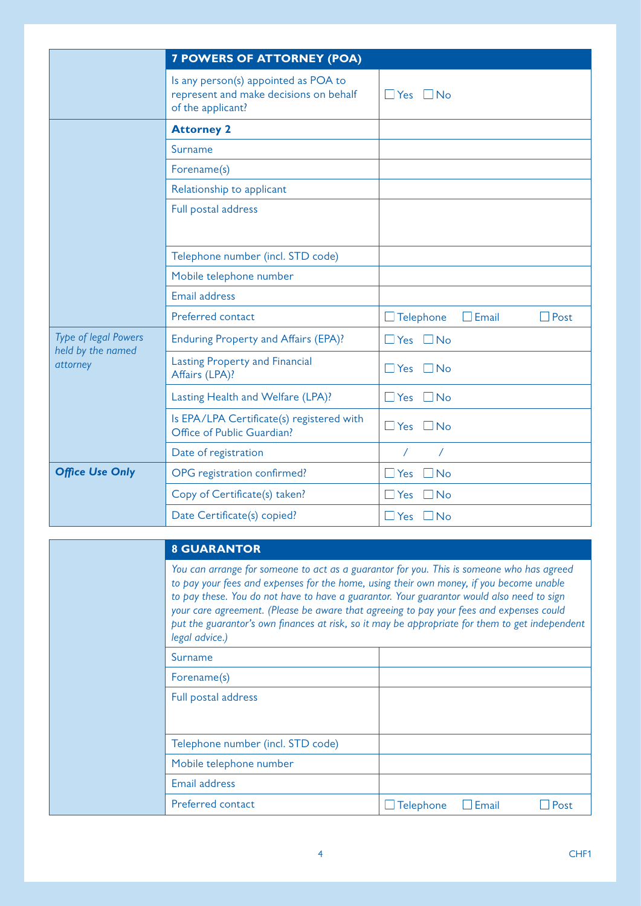|                                                       | <b>7 POWERS OF ATTORNEY (POA)</b>                                                                   |                                                 |
|-------------------------------------------------------|-----------------------------------------------------------------------------------------------------|-------------------------------------------------|
|                                                       | Is any person(s) appointed as POA to<br>represent and make decisions on behalf<br>of the applicant? | $\Box$ Yes $\Box$ No                            |
|                                                       | <b>Attorney 2</b>                                                                                   |                                                 |
|                                                       | Surname                                                                                             |                                                 |
|                                                       | Forename(s)                                                                                         |                                                 |
|                                                       | Relationship to applicant                                                                           |                                                 |
|                                                       | Full postal address                                                                                 |                                                 |
|                                                       |                                                                                                     |                                                 |
|                                                       | Telephone number (incl. STD code)                                                                   |                                                 |
|                                                       | Mobile telephone number                                                                             |                                                 |
|                                                       | <b>Email address</b>                                                                                |                                                 |
|                                                       | Preferred contact                                                                                   | $\Box$ Email<br>$\Box$ Telephone<br>$\Box$ Post |
| Type of legal Powers<br>held by the named<br>attorney | Enduring Property and Affairs (EPA)?                                                                | $\Box$ Yes $\Box$ No                            |
|                                                       | <b>Lasting Property and Financial</b><br>Affairs (LPA)?                                             | $\Box$ Yes<br>$\Box$ No                         |
|                                                       | Lasting Health and Welfare (LPA)?                                                                   | $\Box$ Yes<br>$\Box$ No                         |
|                                                       | Is EPA/LPA Certificate(s) registered with<br>Office of Public Guardian?                             | $\Box$ Yes<br>$\Box$ No                         |
|                                                       | Date of registration                                                                                | $\sqrt{2}$<br>$\sqrt{2}$                        |
| <b>Office Use Only</b>                                | OPG registration confirmed?                                                                         | $\Box$ Yes<br><b>No</b>                         |
|                                                       | Copy of Certificate(s) taken?                                                                       | $\Box$ Yes<br>$\exists$ No                      |
|                                                       | Date Certificate(s) copied?                                                                         | $\Box$ Yes<br>$\Box$ No                         |

| <b>8 GUARANTOR</b> |  |  |
|--------------------|--|--|
|                    |  |  |
|                    |  |  |

*You can arrange for someone to act as a guarantor for you. This is someone who has agreed to pay your fees and expenses for the home, using their own money, if you become unable to pay these. You do not have to have a guarantor. Your guarantor would also need to sign your care agreement. (Please be aware that agreeing to pay your fees and expenses could put the guarantor's own finances at risk, so it may be appropriate for them to get independent legal advice.)* Surname Forename(s) Full postal address

| Tull postal address               |                  |              |      |
|-----------------------------------|------------------|--------------|------|
| Telephone number (incl. STD code) |                  |              |      |
| Mobile telephone number           |                  |              |      |
| Email address                     |                  |              |      |
| Preferred contact                 | $\Box$ Telephone | $\Box$ Email | Post |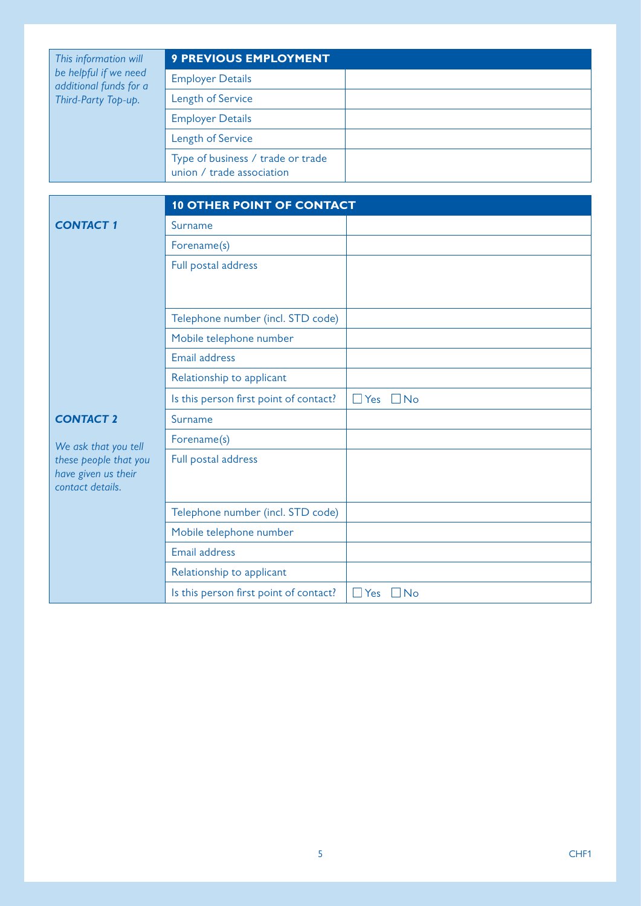| This information will<br>be helpful if we need<br>additional funds for a<br>Third-Party Top-up. | <b>9 PREVIOUS EMPLOYMENT</b>                                   |  |
|-------------------------------------------------------------------------------------------------|----------------------------------------------------------------|--|
|                                                                                                 | <b>Employer Details</b>                                        |  |
|                                                                                                 | <b>Length of Service</b>                                       |  |
|                                                                                                 | <b>Employer Details</b>                                        |  |
|                                                                                                 | <b>Length of Service</b>                                       |  |
|                                                                                                 | Type of business / trade or trade<br>union / trade association |  |

|                                               | <b>10 OTHER POINT OF CONTACT</b>       |                      |
|-----------------------------------------------|----------------------------------------|----------------------|
| <b>CONTACT 1</b>                              | Surname                                |                      |
|                                               | Forename(s)                            |                      |
|                                               | Full postal address                    |                      |
|                                               |                                        |                      |
|                                               |                                        |                      |
|                                               | Telephone number (incl. STD code)      |                      |
|                                               | Mobile telephone number                |                      |
|                                               | Email address                          |                      |
|                                               | Relationship to applicant              |                      |
|                                               | Is this person first point of contact? | $\Box$ Yes $\Box$ No |
| <b>CONTACT 2</b>                              | Surname                                |                      |
| We ask that you tell<br>these people that you | Forename(s)                            |                      |
|                                               | Full postal address                    |                      |
| have given us their<br>contact details.       |                                        |                      |
|                                               |                                        |                      |
|                                               | Telephone number (incl. STD code)      |                      |
|                                               | Mobile telephone number                |                      |
|                                               | Email address                          |                      |
|                                               | Relationship to applicant              |                      |
|                                               | Is this person first point of contact? | $\Box$ Yes $\Box$ No |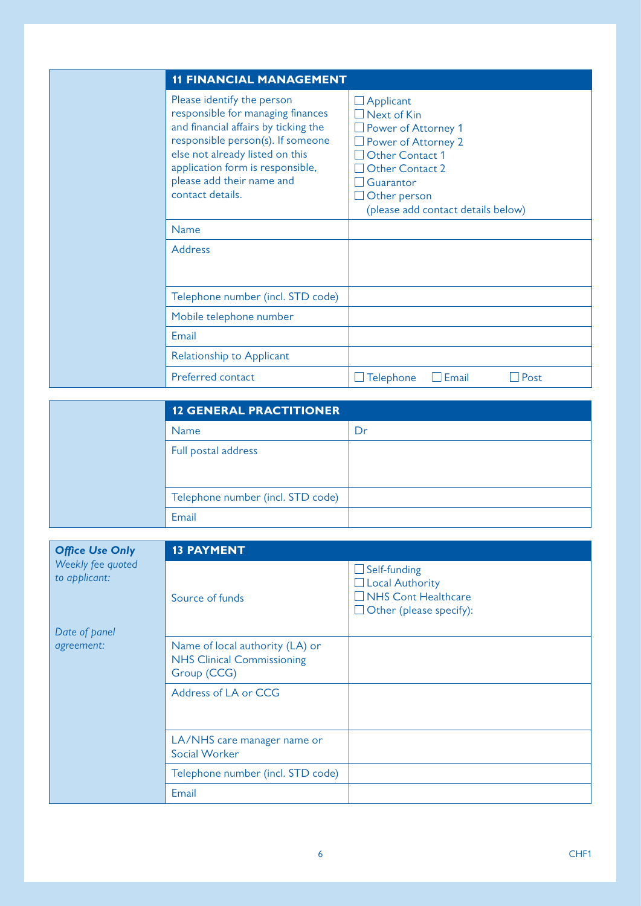| <b>11 FINANCIAL MANAGEMENT</b>                                                                                                                                                                                                                                       |                                                                                                                                                                                                                    |
|----------------------------------------------------------------------------------------------------------------------------------------------------------------------------------------------------------------------------------------------------------------------|--------------------------------------------------------------------------------------------------------------------------------------------------------------------------------------------------------------------|
| Please identify the person<br>responsible for managing finances<br>and financial affairs by ticking the<br>responsible person(s). If someone<br>else not already listed on this<br>application form is responsible,<br>please add their name and<br>contact details. | $\Box$ Applicant<br>$\Box$ Next of Kin<br>$\Box$ Power of Attorney 1<br>Power of Attorney 2<br>$\Box$ Other Contact 1<br>Other Contact 2<br>$\Box$ Guarantor<br>Other person<br>(please add contact details below) |
| <b>Name</b>                                                                                                                                                                                                                                                          |                                                                                                                                                                                                                    |
| Address                                                                                                                                                                                                                                                              |                                                                                                                                                                                                                    |
| Telephone number (incl. STD code)                                                                                                                                                                                                                                    |                                                                                                                                                                                                                    |
| Mobile telephone number                                                                                                                                                                                                                                              |                                                                                                                                                                                                                    |
| Email                                                                                                                                                                                                                                                                |                                                                                                                                                                                                                    |
| Relationship to Applicant                                                                                                                                                                                                                                            |                                                                                                                                                                                                                    |
| Preferred contact                                                                                                                                                                                                                                                    | $\Box$ Email<br>Post<br>Telephone                                                                                                                                                                                  |

| <b>12 GENERAL PRACTITIONER</b>    |    |  |
|-----------------------------------|----|--|
| <b>Name</b>                       | Dr |  |
| Full postal address               |    |  |
|                                   |    |  |
| Telephone number (incl. STD code) |    |  |
| Email                             |    |  |

| <b>Office Use Only</b>                              | <b>13 PAYMENT</b>                                                                   |                                                                                                               |  |
|-----------------------------------------------------|-------------------------------------------------------------------------------------|---------------------------------------------------------------------------------------------------------------|--|
| Weekly fee quoted<br>to applicant:<br>Date of panel | Source of funds                                                                     | $\Box$ Self-funding<br>$\Box$ Local Authority<br>$\Box$ NHS Cont Healthcare<br>$\Box$ Other (please specify): |  |
| agreement:                                          | Name of local authority (LA) or<br><b>NHS Clinical Commissioning</b><br>Group (CCG) |                                                                                                               |  |
|                                                     | Address of LA or CCG                                                                |                                                                                                               |  |
|                                                     | LA/NHS care manager name or<br>Social Worker                                        |                                                                                                               |  |
|                                                     | Telephone number (incl. STD code)                                                   |                                                                                                               |  |
|                                                     | Email                                                                               |                                                                                                               |  |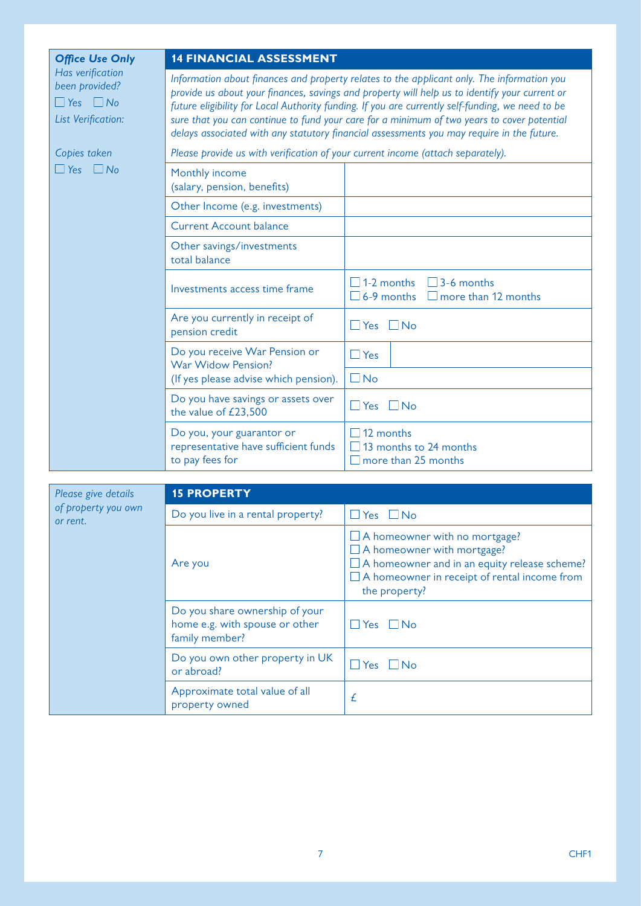| <b>Office Use Only</b>                                                           | <b>14 FINANCIAL ASSESSMENT</b>                                                                                                                                                                                                                                                                                                                                                                                                                                                             |                                                                                    |  |  |
|----------------------------------------------------------------------------------|--------------------------------------------------------------------------------------------------------------------------------------------------------------------------------------------------------------------------------------------------------------------------------------------------------------------------------------------------------------------------------------------------------------------------------------------------------------------------------------------|------------------------------------------------------------------------------------|--|--|
| Has verification<br>been provided?<br>$\Box$ Yes $\Box$ No<br>List Verification: | Information about finances and property relates to the applicant only. The information you<br>provide us about your finances, savings and property will help us to identify your current or<br>future eligibility for Local Authority funding. If you are currently self-funding, we need to be<br>sure that you can continue to fund your care for a minimum of two years to cover potential<br>delays associated with any statutory financial assessments you may require in the future. |                                                                                    |  |  |
| Copies taken<br>$\Box$ No<br>$\Box$ Yes                                          |                                                                                                                                                                                                                                                                                                                                                                                                                                                                                            | Please provide us with verification of your current income (attach separately).    |  |  |
|                                                                                  | Monthly income<br>(salary, pension, benefits)                                                                                                                                                                                                                                                                                                                                                                                                                                              |                                                                                    |  |  |
|                                                                                  | Other Income (e.g. investments)                                                                                                                                                                                                                                                                                                                                                                                                                                                            |                                                                                    |  |  |
|                                                                                  | <b>Current Account balance</b>                                                                                                                                                                                                                                                                                                                                                                                                                                                             |                                                                                    |  |  |
|                                                                                  | Other savings/investments<br>total balance                                                                                                                                                                                                                                                                                                                                                                                                                                                 |                                                                                    |  |  |
|                                                                                  | Investments access time frame                                                                                                                                                                                                                                                                                                                                                                                                                                                              | $\Box$ 1-2 months<br>$\Box$ 3-6 months<br>6-9 months<br>$\Box$ more than 12 months |  |  |
|                                                                                  | Are you currently in receipt of<br>pension credit                                                                                                                                                                                                                                                                                                                                                                                                                                          | $\Box$ Yes $\Box$ No                                                               |  |  |
|                                                                                  | Do you receive War Pension or<br>War Widow Pension?<br>(If yes please advise which pension).                                                                                                                                                                                                                                                                                                                                                                                               | $\Box$ Yes                                                                         |  |  |
|                                                                                  |                                                                                                                                                                                                                                                                                                                                                                                                                                                                                            | $\Box$ No                                                                          |  |  |
|                                                                                  | Do you have savings or assets over<br>the value of £23,500                                                                                                                                                                                                                                                                                                                                                                                                                                 | $\Box$ No<br>$\Box$ Yes                                                            |  |  |
|                                                                                  | Do you, your guarantor or<br>representative have sufficient funds<br>to pay fees for                                                                                                                                                                                                                                                                                                                                                                                                       | $\Box$ 12 months<br>13 months to 24 months<br>$\Box$ more than 25 months           |  |  |

| Please give details             | <b>15 PROPERTY</b>                                                                 |                                                                                                                                                                                                          |  |
|---------------------------------|------------------------------------------------------------------------------------|----------------------------------------------------------------------------------------------------------------------------------------------------------------------------------------------------------|--|
| of property you own<br>or rent. | Do you live in a rental property?                                                  | $\Box$ Yes $\Box$ No                                                                                                                                                                                     |  |
|                                 | Are you                                                                            | $\Box$ A homeowner with no mortgage?<br>$\Box$ A homeowner with mortgage?<br>$\Box$ A homeowner and in an equity release scheme?<br>$\Box$ A homeowner in receipt of rental income from<br>the property? |  |
|                                 | Do you share ownership of your<br>home e.g. with spouse or other<br>family member? | $\Box$ Yes $\Box$ No                                                                                                                                                                                     |  |
|                                 | Do you own other property in UK<br>or abroad?                                      | $\overline{\phantom{a}}$ No<br>Yes                                                                                                                                                                       |  |
|                                 | Approximate total value of all<br>property owned                                   | £                                                                                                                                                                                                        |  |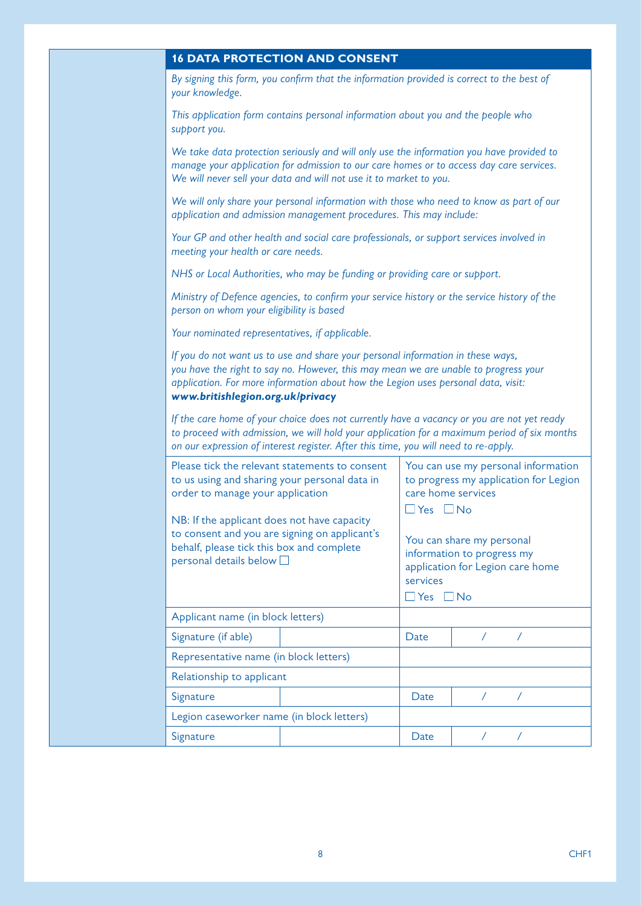|  | <b>16 DATA PROTECTION AND CONSENT</b> |  |
|--|---------------------------------------|--|
|  |                                       |  |

*By signing this form, you confirm that the information provided is correct to the best of your knowledge.*

*This application form contains personal information about you and the people who support you.*

*We take data protection seriously and will only use the information you have provided to manage your application for admission to our care homes or to access day care services. We will never sell your data and will not use it to market to you.*

*We will only share your personal information with those who need to know as part of our application and admission management procedures. This may include:*

*Your GP and other health and social care professionals, or support services involved in meeting your health or care needs.*

*NHS or Local Authorities, who may be funding or providing care or support.*

*Ministry of Defence agencies, to confirm your service history or the service history of the person on whom your eligibility is based*

*Your nominated representatives, if applicable.*

*If you do not want us to use and share your personal information in these ways, you have the right to say no. However, this may mean we are unable to progress your application. For more information about how the Legion uses personal data, visit: [www.britishlegion.org.uk/privacy](http://www.britishlegion.org.uk/privacy)*

*If the care home of your choice does not currently have a vacancy or you are not yet ready to proceed with admission, we will hold your application for a maximum period of six months on our expression of interest register. After this time, you will need to re-apply.*

|  | Please tick the relevant statements to consent<br>to us using and sharing your personal data in<br>order to manage your application<br>NB: If the applicant does not have capacity<br>to consent and you are signing on applicant's<br>behalf, please tick this box and complete<br>personal details below $\square$ |  | You can use my personal information<br>to progress my application for Legion<br>care home services<br>$\exists$ Yes $\Box$ No<br>You can share my personal<br>information to progress my<br>application for Legion care home<br>services<br>$\sqcup$ Yes $\;\;\Box$ No |  |  |
|--|----------------------------------------------------------------------------------------------------------------------------------------------------------------------------------------------------------------------------------------------------------------------------------------------------------------------|--|------------------------------------------------------------------------------------------------------------------------------------------------------------------------------------------------------------------------------------------------------------------------|--|--|
|  |                                                                                                                                                                                                                                                                                                                      |  |                                                                                                                                                                                                                                                                        |  |  |
|  | Applicant name (in block letters)                                                                                                                                                                                                                                                                                    |  |                                                                                                                                                                                                                                                                        |  |  |
|  | Signature (if able)                                                                                                                                                                                                                                                                                                  |  | Date                                                                                                                                                                                                                                                                   |  |  |
|  | Representative name (in block letters)<br>Relationship to applicant                                                                                                                                                                                                                                                  |  |                                                                                                                                                                                                                                                                        |  |  |
|  |                                                                                                                                                                                                                                                                                                                      |  |                                                                                                                                                                                                                                                                        |  |  |
|  | Signature                                                                                                                                                                                                                                                                                                            |  | Date                                                                                                                                                                                                                                                                   |  |  |
|  | Legion caseworker name (in block letters)                                                                                                                                                                                                                                                                            |  |                                                                                                                                                                                                                                                                        |  |  |
|  | Signature                                                                                                                                                                                                                                                                                                            |  | Date                                                                                                                                                                                                                                                                   |  |  |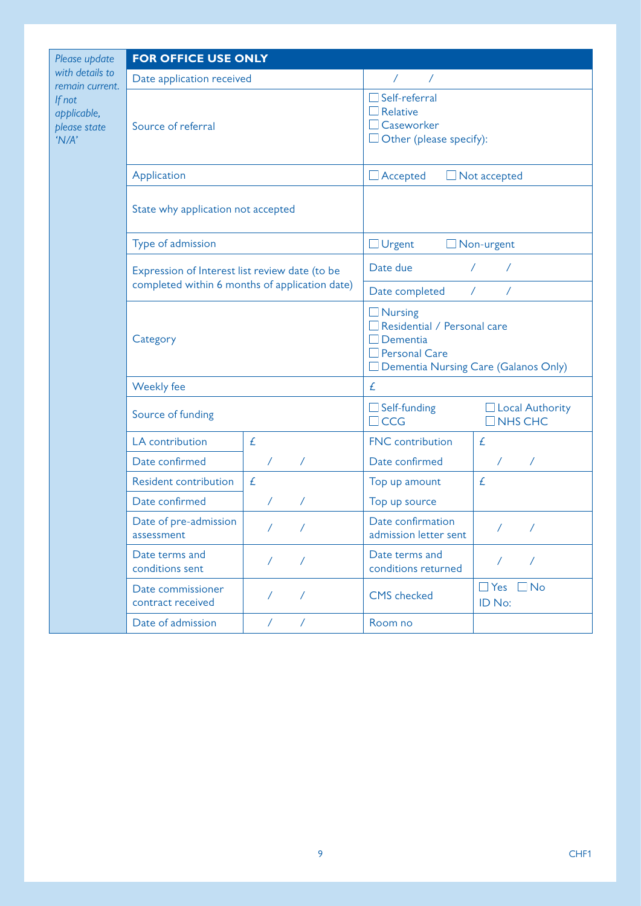| Please update                                  | <b>FOR OFFICE USE ONLY</b>                                                                                   |                          |                                                                                                                                  |                                          |
|------------------------------------------------|--------------------------------------------------------------------------------------------------------------|--------------------------|----------------------------------------------------------------------------------------------------------------------------------|------------------------------------------|
| with details to<br>remain current.             | Date application received                                                                                    |                          | $\sqrt{2}$<br>$\sqrt{2}$                                                                                                         |                                          |
| If not<br>applicable,<br>please state<br>'N/A' | Source of referral                                                                                           |                          | $\Box$ Self-referral<br>$\Box$ Relative<br>□ Caseworker<br>$\Box$ Other (please specify):                                        |                                          |
|                                                | Application                                                                                                  |                          | $\Box$ Accepted<br>$\Box$ Not accepted                                                                                           |                                          |
|                                                | State why application not accepted                                                                           |                          |                                                                                                                                  |                                          |
|                                                | Type of admission                                                                                            |                          | $\Box$ Urgent                                                                                                                    | Non-urgent                               |
|                                                | Expression of Interest list review date (to be<br>completed within 6 months of application date)<br>Category |                          | Date due                                                                                                                         | $\sqrt{2}$<br>$\sqrt{2}$                 |
|                                                |                                                                                                              |                          | Date completed                                                                                                                   | $\sqrt{2}$<br>$\sqrt{2}$                 |
|                                                |                                                                                                              |                          | $\Box$ Nursing<br>$\Box$ Residential / Personal care<br>$\Box$ Dementia<br>Personal Care<br>Dementia Nursing Care (Galanos Only) |                                          |
|                                                | Weekly fee                                                                                                   |                          | £                                                                                                                                |                                          |
|                                                | Source of funding                                                                                            |                          | $\Box$ Self-funding<br>$\Box$ CCG                                                                                                | $\Box$ Local Authority<br>$\Box$ NHS CHC |
|                                                | LA contribution                                                                                              | £                        | FNC contribution                                                                                                                 | £                                        |
|                                                | Date confirmed                                                                                               | $\sqrt{2}$<br>$\sqrt{2}$ | Date confirmed                                                                                                                   | $\prime$                                 |
|                                                | <b>Resident contribution</b>                                                                                 | £                        | Top up amount                                                                                                                    | £                                        |
|                                                | Date confirmed                                                                                               | T<br>$\sqrt{2}$          | Top up source                                                                                                                    |                                          |
|                                                | Date of pre-admission<br>assessment                                                                          | $\sqrt{2}$<br>$\sqrt{2}$ | Date confirmation<br>admission letter sent                                                                                       | $\prime$<br>$\sqrt{2}$                   |
|                                                | Date terms and<br>conditions sent                                                                            | $\sqrt{2}$<br>$\sqrt{2}$ | Date terms and<br>conditions returned                                                                                            | $\sqrt{2}$<br>$\prime$                   |
|                                                | Date commissioner<br>contract received                                                                       | $\sqrt{2}$<br>$\sqrt{2}$ | <b>CMS</b> checked                                                                                                               | $\Box$ Yes $\Box$ No<br>ID No:           |
|                                                | Date of admission                                                                                            | $\sqrt{2}$<br>$\sqrt{2}$ | Room no                                                                                                                          |                                          |